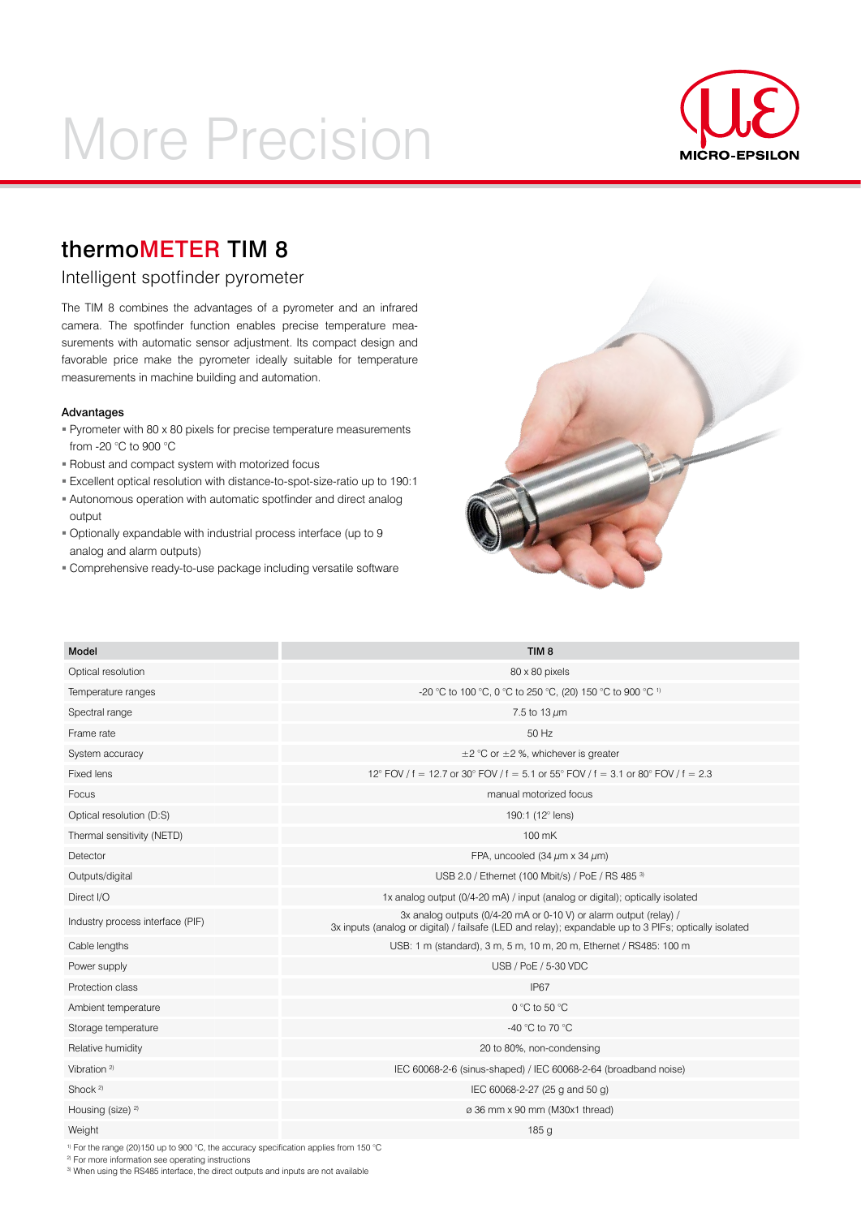# More Precision



## thermoMETER TIM 8

### Intelligent spotfinder pyrometer

The TIM 8 combines the advantages of a pyrometer and an infrared camera. The spotfinder function enables precise temperature measurements with automatic sensor adjustment. Its compact design and favorable price make the pyrometer ideally suitable for temperature measurements in machine building and automation.

#### Advantages

- Pyrometer with 80 x 80 pixels for precise temperature measurements from -20 °C to 900 °C
- Robust and compact system with motorized focus
- Excellent optical resolution with distance-to-spot-size-ratio up to 190:1
- Autonomous operation with automatic spotfinder and direct analog output
- Optionally expandable with industrial process interface (up to 9 analog and alarm outputs)
- Comprehensive ready-to-use package including versatile software



| <b>Model</b>                     | TIM <sub>8</sub>                                                                                                                                                           |
|----------------------------------|----------------------------------------------------------------------------------------------------------------------------------------------------------------------------|
| Optical resolution               | 80 x 80 pixels                                                                                                                                                             |
| Temperature ranges               | -20 °C to 100 °C, 0 °C to 250 °C, (20) 150 °C to 900 °C 1)                                                                                                                 |
| Spectral range                   | 7.5 to 13 $\mu$ m                                                                                                                                                          |
| Frame rate                       | 50 Hz                                                                                                                                                                      |
| System accuracy                  | $\pm$ 2 °C or $\pm$ 2 %, whichever is greater                                                                                                                              |
| Fixed lens                       | 12° FOV / f = 12.7 or 30° FOV / f = 5.1 or 55° FOV / f = 3.1 or 80° FOV / f = 2.3                                                                                          |
| Focus                            | manual motorized focus                                                                                                                                                     |
| Optical resolution (D:S)         | 190:1 (12° lens)                                                                                                                                                           |
| Thermal sensitivity (NETD)       | 100 mK                                                                                                                                                                     |
| Detector                         | FPA, uncooled (34 $\mu$ m x 34 $\mu$ m)                                                                                                                                    |
| Outputs/digital                  | USB 2.0 / Ethernet (100 Mbit/s) / PoE / RS 485 3)                                                                                                                          |
| Direct I/O                       | 1x analog output (0/4-20 mA) / input (analog or digital); optically isolated                                                                                               |
| Industry process interface (PIF) | 3x analog outputs (0/4-20 mA or 0-10 V) or alarm output (relay) /<br>3x inputs (analog or digital) / failsafe (LED and relay); expandable up to 3 PIFs; optically isolated |
| Cable lengths                    | USB: 1 m (standard), 3 m, 5 m, 10 m, 20 m, Ethernet / RS485: 100 m                                                                                                         |
| Power supply                     | USB / PoE / 5-30 VDC                                                                                                                                                       |
| Protection class                 | IP67                                                                                                                                                                       |
| Ambient temperature              | 0 °C to 50 °C                                                                                                                                                              |
| Storage temperature              | -40 °C to 70 °C                                                                                                                                                            |
| Relative humidity                | 20 to 80%, non-condensing                                                                                                                                                  |
| Vibration <sup>2)</sup>          | IEC 60068-2-6 (sinus-shaped) / IEC 60068-2-64 (broadband noise)                                                                                                            |
| Shock $2$                        | IEC 60068-2-27 (25 g and 50 g)                                                                                                                                             |
| Housing (size) <sup>2)</sup>     | ø 36 mm x 90 mm (M30x1 thread)                                                                                                                                             |
| Weight                           | 185 <sub>q</sub>                                                                                                                                                           |
|                                  |                                                                                                                                                                            |

1) For the range (20)150 up to 900 °C, the accuracy specification applies from 150 °C

<sup>2)</sup> For more information see operating instructions

3) When using the RS485 interface, the direct outputs and inputs are not available